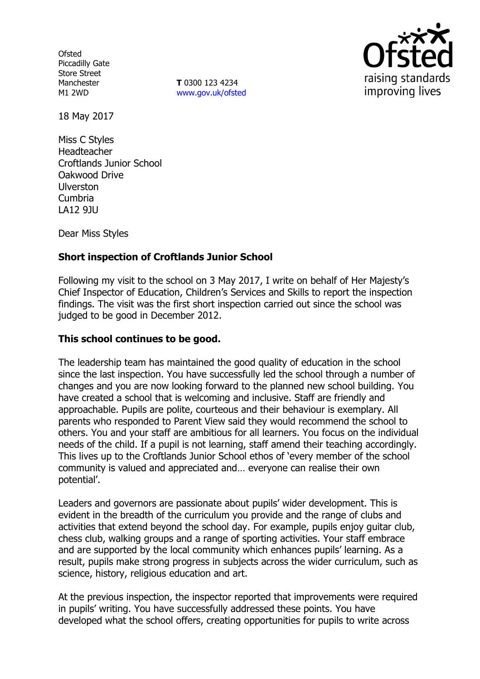**Ofsted** Piccadilly Gate Store Street Manchester M1 2WD

**T** 0300 123 4234 www.gov.uk/ofsted



18 May 2017

Miss C Styles Headteacher Croftlands Junior School Oakwood Drive Ulverston Cumbria LA12 9JU

Dear Miss Styles

# **Short inspection of Croftlands Junior School**

Following my visit to the school on 3 May 2017, I write on behalf of Her Majesty's Chief Inspector of Education, Children's Services and Skills to report the inspection findings. The visit was the first short inspection carried out since the school was judged to be good in December 2012.

#### **This school continues to be good.**

The leadership team has maintained the good quality of education in the school since the last inspection. You have successfully led the school through a number of changes and you are now looking forward to the planned new school building. You have created a school that is welcoming and inclusive. Staff are friendly and approachable. Pupils are polite, courteous and their behaviour is exemplary. All parents who responded to Parent View said they would recommend the school to others. You and your staff are ambitious for all learners. You focus on the individual needs of the child. If a pupil is not learning, staff amend their teaching accordingly. This lives up to the Croftlands Junior School ethos of 'every member of the school community is valued and appreciated and… everyone can realise their own potential'.

Leaders and governors are passionate about pupils' wider development. This is evident in the breadth of the curriculum you provide and the range of clubs and activities that extend beyond the school day. For example, pupils enjoy guitar club, chess club, walking groups and a range of sporting activities. Your staff embrace and are supported by the local community which enhances pupils' learning. As a result, pupils make strong progress in subjects across the wider curriculum, such as science, history, religious education and art.

At the previous inspection, the inspector reported that improvements were required in pupils' writing. You have successfully addressed these points. You have developed what the school offers, creating opportunities for pupils to write across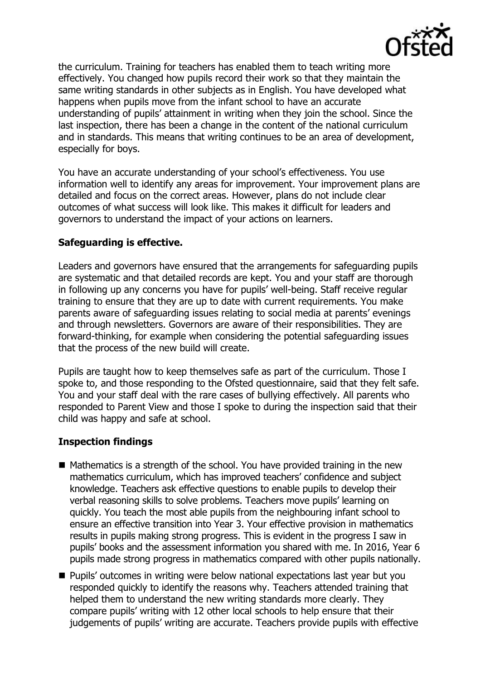

the curriculum. Training for teachers has enabled them to teach writing more effectively. You changed how pupils record their work so that they maintain the same writing standards in other subjects as in English. You have developed what happens when pupils move from the infant school to have an accurate understanding of pupils' attainment in writing when they join the school. Since the last inspection, there has been a change in the content of the national curriculum and in standards. This means that writing continues to be an area of development, especially for boys.

You have an accurate understanding of your school's effectiveness. You use information well to identify any areas for improvement. Your improvement plans are detailed and focus on the correct areas. However, plans do not include clear outcomes of what success will look like. This makes it difficult for leaders and governors to understand the impact of your actions on learners.

#### **Safeguarding is effective.**

Leaders and governors have ensured that the arrangements for safeguarding pupils are systematic and that detailed records are kept. You and your staff are thorough in following up any concerns you have for pupils' well-being. Staff receive regular training to ensure that they are up to date with current requirements. You make parents aware of safeguarding issues relating to social media at parents' evenings and through newsletters. Governors are aware of their responsibilities. They are forward-thinking, for example when considering the potential safeguarding issues that the process of the new build will create.

Pupils are taught how to keep themselves safe as part of the curriculum. Those I spoke to, and those responding to the Ofsted questionnaire, said that they felt safe. You and your staff deal with the rare cases of bullying effectively. All parents who responded to Parent View and those I spoke to during the inspection said that their child was happy and safe at school.

# **Inspection findings**

- $\blacksquare$  Mathematics is a strength of the school. You have provided training in the new mathematics curriculum, which has improved teachers' confidence and subject knowledge. Teachers ask effective questions to enable pupils to develop their verbal reasoning skills to solve problems. Teachers move pupils' learning on quickly. You teach the most able pupils from the neighbouring infant school to ensure an effective transition into Year 3. Your effective provision in mathematics results in pupils making strong progress. This is evident in the progress I saw in pupils' books and the assessment information you shared with me. In 2016, Year 6 pupils made strong progress in mathematics compared with other pupils nationally.
- **Pupils' outcomes in writing were below national expectations last year but you** responded quickly to identify the reasons why. Teachers attended training that helped them to understand the new writing standards more clearly. They compare pupils' writing with 12 other local schools to help ensure that their judgements of pupils' writing are accurate. Teachers provide pupils with effective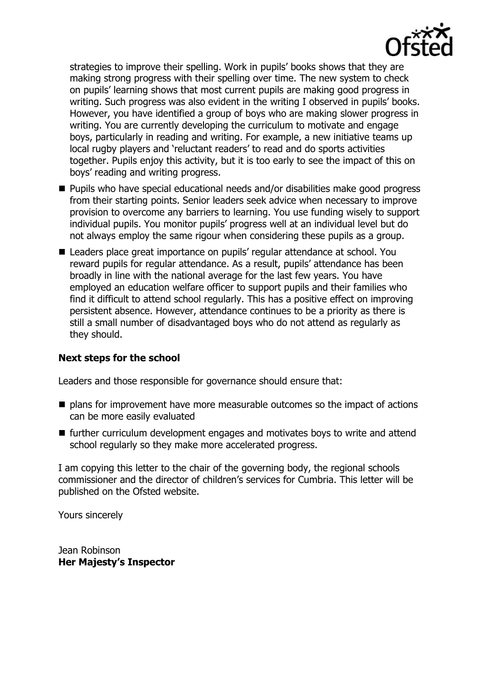

strategies to improve their spelling. Work in pupils' books shows that they are making strong progress with their spelling over time. The new system to check on pupils' learning shows that most current pupils are making good progress in writing. Such progress was also evident in the writing I observed in pupils' books. However, you have identified a group of boys who are making slower progress in writing. You are currently developing the curriculum to motivate and engage boys, particularly in reading and writing. For example, a new initiative teams up local rugby players and 'reluctant readers' to read and do sports activities together. Pupils enjoy this activity, but it is too early to see the impact of this on boys' reading and writing progress.

- Pupils who have special educational needs and/or disabilities make good progress from their starting points. Senior leaders seek advice when necessary to improve provision to overcome any barriers to learning. You use funding wisely to support individual pupils. You monitor pupils' progress well at an individual level but do not always employ the same rigour when considering these pupils as a group.
- Leaders place great importance on pupils' regular attendance at school. You reward pupils for regular attendance. As a result, pupils' attendance has been broadly in line with the national average for the last few years. You have employed an education welfare officer to support pupils and their families who find it difficult to attend school regularly. This has a positive effect on improving persistent absence. However, attendance continues to be a priority as there is still a small number of disadvantaged boys who do not attend as regularly as they should.

# **Next steps for the school**

Leaders and those responsible for governance should ensure that:

- plans for improvement have more measurable outcomes so the impact of actions can be more easily evaluated
- $\blacksquare$  further curriculum development engages and motivates boys to write and attend school regularly so they make more accelerated progress.

I am copying this letter to the chair of the governing body, the regional schools commissioner and the director of children's services for Cumbria. This letter will be published on the Ofsted website.

Yours sincerely

Jean Robinson **Her Majesty's Inspector**